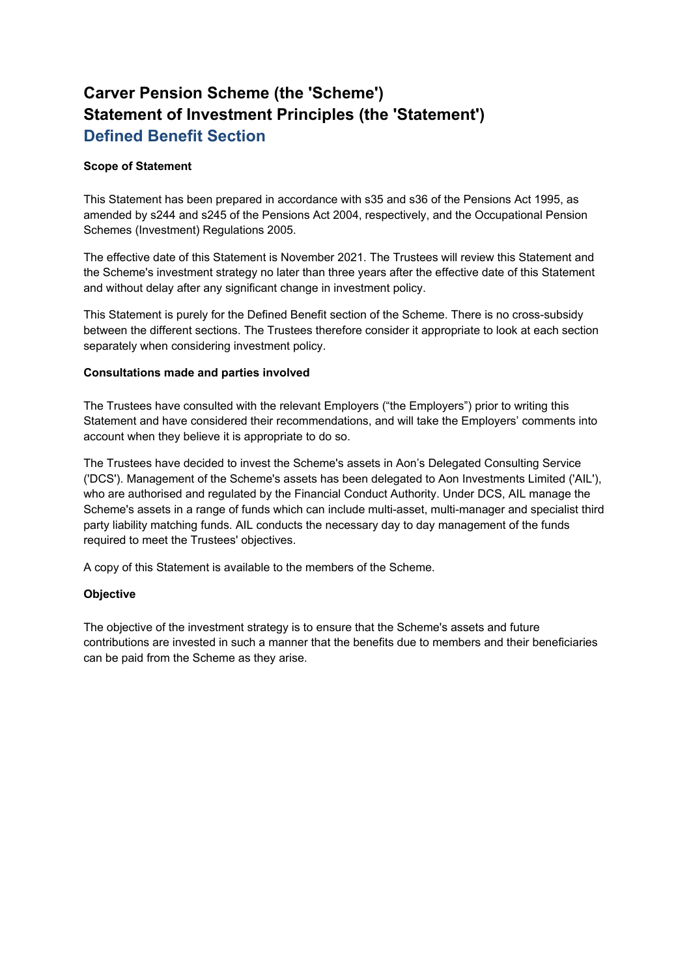# **Carver Pension Scheme (the 'Scheme') Statement of Investment Principles (the 'Statement') Defined Benefit Section**

## **Scope of Statement**

This Statement has been prepared in accordance with s35 and s36 of the Pensions Act 1995, as amended by s244 and s245 of the Pensions Act 2004, respectively, and the Occupational Pension Schemes (Investment) Regulations 2005.

The effective date of this Statement is November 2021. The Trustees will review this Statement and the Scheme's investment strategy no later than three years after the effective date of this Statement and without delay after any significant change in investment policy.

This Statement is purely for the Defined Benefit section of the Scheme. There is no cross-subsidy between the different sections. The Trustees therefore consider it appropriate to look at each section separately when considering investment policy.

## **Consultations made and parties involved**

The Trustees have consulted with the relevant Employers ("the Employers") prior to writing this Statement and have considered their recommendations, and will take the Employers' comments into account when they believe it is appropriate to do so.

The Trustees have decided to invest the Scheme's assets in Aon's Delegated Consulting Service ('DCS'). Management of the Scheme's assets has been delegated to Aon Investments Limited ('AIL'), who are authorised and regulated by the Financial Conduct Authority. Under DCS, AIL manage the Scheme's assets in a range of funds which can include multi-asset, multi-manager and specialist third party liability matching funds. AIL conducts the necessary day to day management of the funds required to meet the Trustees' objectives.

A copy of this Statement is available to the members of the Scheme.

# **Objective**

The objective of the investment strategy is to ensure that the Scheme's assets and future contributions are invested in such a manner that the benefits due to members and their beneficiaries can be paid from the Scheme as they arise.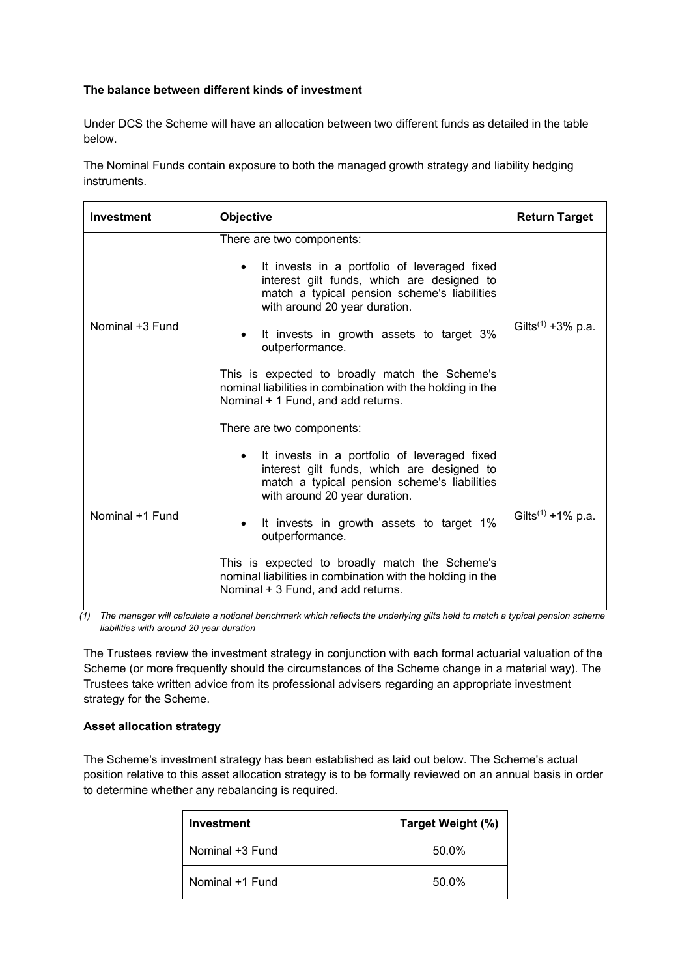# **The balance between different kinds of investment**

Under DCS the Scheme will have an allocation between two different funds as detailed in the table below.

The Nominal Funds contain exposure to both the managed growth strategy and liability hedging instruments.

| <b>Investment</b> | Objective                                                                                                                                                                                                                                                                                                                                                                                                                                  | <b>Return Target</b>          |
|-------------------|--------------------------------------------------------------------------------------------------------------------------------------------------------------------------------------------------------------------------------------------------------------------------------------------------------------------------------------------------------------------------------------------------------------------------------------------|-------------------------------|
| Nominal +3 Fund   | There are two components:<br>It invests in a portfolio of leveraged fixed<br>interest gilt funds, which are designed to<br>match a typical pension scheme's liabilities<br>with around 20 year duration.<br>It invests in growth assets to target 3%<br>$\bullet$<br>outperformance.<br>This is expected to broadly match the Scheme's<br>nominal liabilities in combination with the holding in the<br>Nominal + 1 Fund, and add returns. | Gilts <sup>(1)</sup> +3% p.a. |
| Nominal +1 Fund   | There are two components:<br>It invests in a portfolio of leveraged fixed<br>interest gilt funds, which are designed to<br>match a typical pension scheme's liabilities<br>with around 20 year duration.<br>It invests in growth assets to target 1%<br>outperformance.<br>This is expected to broadly match the Scheme's<br>nominal liabilities in combination with the holding in the<br>Nominal + 3 Fund, and add returns.              | Gilts <sup>(1)</sup> +1% p.a. |

*(1) The manager will calculate a notional benchmark which reflects the underlying gilts held to match a typical pension scheme liabilities with around 20 year duration* 

The Trustees review the investment strategy in conjunction with each formal actuarial valuation of the Scheme (or more frequently should the circumstances of the Scheme change in a material way). The Trustees take written advice from its professional advisers regarding an appropriate investment strategy for the Scheme.

## **Asset allocation strategy**

The Scheme's investment strategy has been established as laid out below. The Scheme's actual position relative to this asset allocation strategy is to be formally reviewed on an annual basis in order to determine whether any rebalancing is required.

| <b>Investment</b> | Target Weight (%) |
|-------------------|-------------------|
| Nominal +3 Fund   | 50.0%             |
| Nominal +1 Fund   | 50.0%             |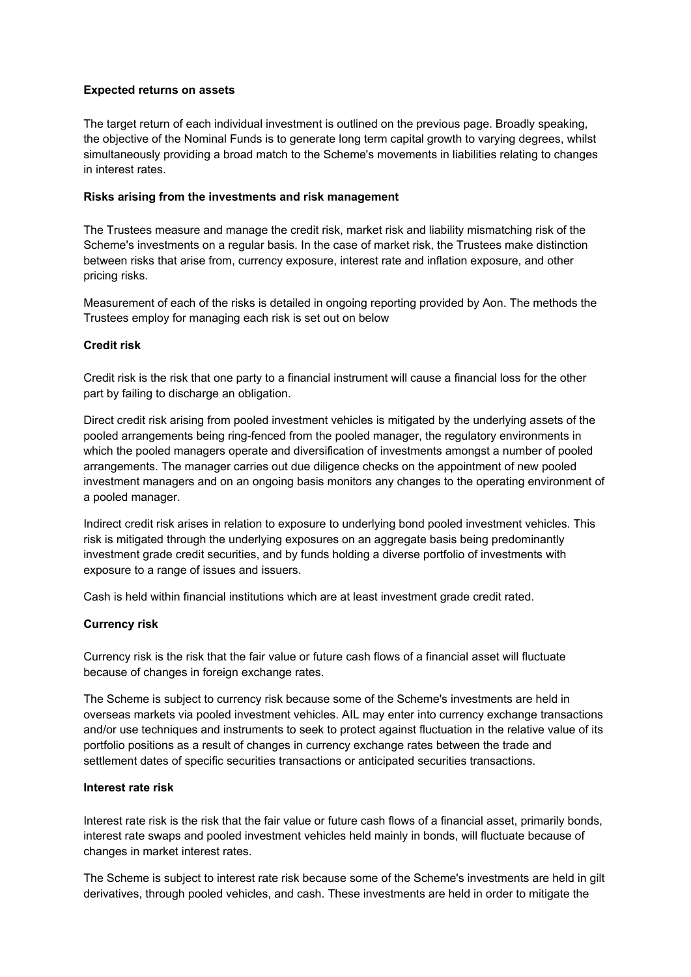## **Expected returns on assets**

The target return of each individual investment is outlined on the previous page. Broadly speaking, the objective of the Nominal Funds is to generate long term capital growth to varying degrees, whilst simultaneously providing a broad match to the Scheme's movements in liabilities relating to changes in interest rates.

## **Risks arising from the investments and risk management**

The Trustees measure and manage the credit risk, market risk and liability mismatching risk of the Scheme's investments on a regular basis. In the case of market risk, the Trustees make distinction between risks that arise from, currency exposure, interest rate and inflation exposure, and other pricing risks.

Measurement of each of the risks is detailed in ongoing reporting provided by Aon. The methods the Trustees employ for managing each risk is set out on below

# **Credit risk**

Credit risk is the risk that one party to a financial instrument will cause a financial loss for the other part by failing to discharge an obligation.

Direct credit risk arising from pooled investment vehicles is mitigated by the underlying assets of the pooled arrangements being ring-fenced from the pooled manager, the regulatory environments in which the pooled managers operate and diversification of investments amongst a number of pooled arrangements. The manager carries out due diligence checks on the appointment of new pooled investment managers and on an ongoing basis monitors any changes to the operating environment of a pooled manager.

Indirect credit risk arises in relation to exposure to underlying bond pooled investment vehicles. This risk is mitigated through the underlying exposures on an aggregate basis being predominantly investment grade credit securities, and by funds holding a diverse portfolio of investments with exposure to a range of issues and issuers.

Cash is held within financial institutions which are at least investment grade credit rated.

## **Currency risk**

Currency risk is the risk that the fair value or future cash flows of a financial asset will fluctuate because of changes in foreign exchange rates.

The Scheme is subject to currency risk because some of the Scheme's investments are held in overseas markets via pooled investment vehicles. AIL may enter into currency exchange transactions and/or use techniques and instruments to seek to protect against fluctuation in the relative value of its portfolio positions as a result of changes in currency exchange rates between the trade and settlement dates of specific securities transactions or anticipated securities transactions.

## **Interest rate risk**

Interest rate risk is the risk that the fair value or future cash flows of a financial asset, primarily bonds, interest rate swaps and pooled investment vehicles held mainly in bonds, will fluctuate because of changes in market interest rates.

The Scheme is subject to interest rate risk because some of the Scheme's investments are held in gilt derivatives, through pooled vehicles, and cash. These investments are held in order to mitigate the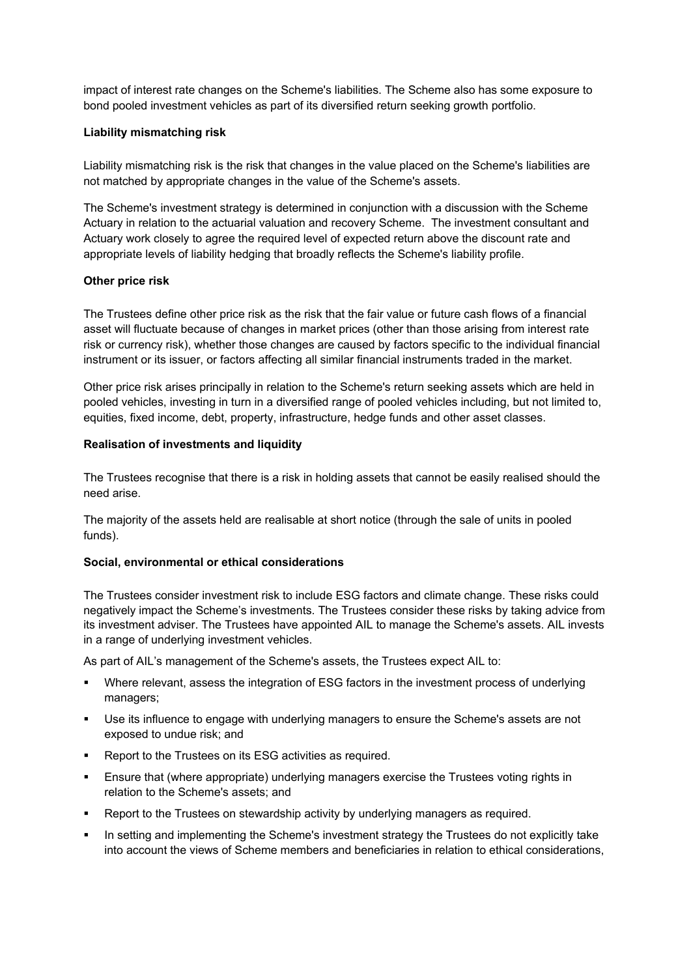impact of interest rate changes on the Scheme's liabilities. The Scheme also has some exposure to bond pooled investment vehicles as part of its diversified return seeking growth portfolio.

## **Liability mismatching risk**

Liability mismatching risk is the risk that changes in the value placed on the Scheme's liabilities are not matched by appropriate changes in the value of the Scheme's assets.

The Scheme's investment strategy is determined in conjunction with a discussion with the Scheme Actuary in relation to the actuarial valuation and recovery Scheme. The investment consultant and Actuary work closely to agree the required level of expected return above the discount rate and appropriate levels of liability hedging that broadly reflects the Scheme's liability profile.

## **Other price risk**

The Trustees define other price risk as the risk that the fair value or future cash flows of a financial asset will fluctuate because of changes in market prices (other than those arising from interest rate risk or currency risk), whether those changes are caused by factors specific to the individual financial instrument or its issuer, or factors affecting all similar financial instruments traded in the market.

Other price risk arises principally in relation to the Scheme's return seeking assets which are held in pooled vehicles, investing in turn in a diversified range of pooled vehicles including, but not limited to, equities, fixed income, debt, property, infrastructure, hedge funds and other asset classes.

#### **Realisation of investments and liquidity**

The Trustees recognise that there is a risk in holding assets that cannot be easily realised should the need arise.

The majority of the assets held are realisable at short notice (through the sale of units in pooled funds).

## **Social, environmental or ethical considerations**

The Trustees consider investment risk to include ESG factors and climate change. These risks could negatively impact the Scheme's investments. The Trustees consider these risks by taking advice from its investment adviser. The Trustees have appointed AIL to manage the Scheme's assets. AIL invests in a range of underlying investment vehicles.

As part of AIL's management of the Scheme's assets, the Trustees expect AIL to:

- Where relevant, assess the integration of ESG factors in the investment process of underlying managers;
- Use its influence to engage with underlying managers to ensure the Scheme's assets are not exposed to undue risk; and
- Report to the Trustees on its ESG activities as required.
- Ensure that (where appropriate) underlying managers exercise the Trustees voting rights in relation to the Scheme's assets; and
- Report to the Trustees on stewardship activity by underlying managers as required.
- In setting and implementing the Scheme's investment strategy the Trustees do not explicitly take into account the views of Scheme members and beneficiaries in relation to ethical considerations,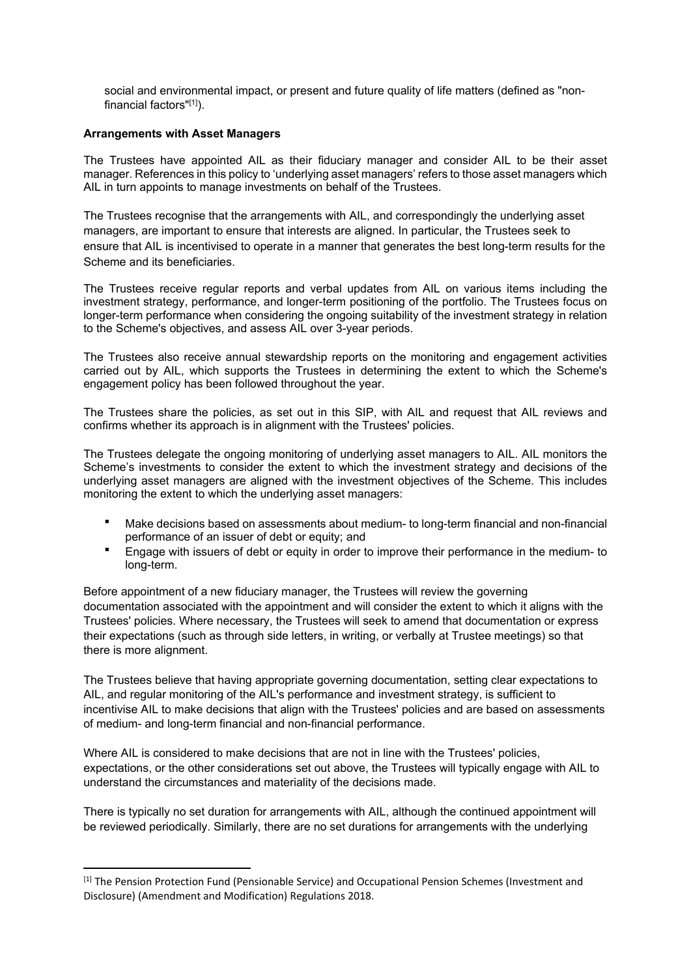social and environmental impact, or present and future quality of life matters (defined as "nonfinancial factors"[1]).

## **Arrangements with Asset Managers**

The Trustees have appointed AIL as their fiduciary manager and consider AIL to be their asset manager. References in this policy to 'underlying asset managers' refers to those asset managers which AIL in turn appoints to manage investments on behalf of the Trustees.

The Trustees recognise that the arrangements with AIL, and correspondingly the underlying asset managers, are important to ensure that interests are aligned. In particular, the Trustees seek to ensure that AIL is incentivised to operate in a manner that generates the best long-term results for the Scheme and its beneficiaries.

The Trustees receive regular reports and verbal updates from AIL on various items including the investment strategy, performance, and longer-term positioning of the portfolio. The Trustees focus on longer-term performance when considering the ongoing suitability of the investment strategy in relation to the Scheme's objectives, and assess AIL over 3-year periods.

The Trustees also receive annual stewardship reports on the monitoring and engagement activities carried out by AIL, which supports the Trustees in determining the extent to which the Scheme's engagement policy has been followed throughout the year.

The Trustees share the policies, as set out in this SIP, with AIL and request that AIL reviews and confirms whether its approach is in alignment with the Trustees' policies.

The Trustees delegate the ongoing monitoring of underlying asset managers to AIL. AIL monitors the Scheme's investments to consider the extent to which the investment strategy and decisions of the underlying asset managers are aligned with the investment objectives of the Scheme. This includes monitoring the extent to which the underlying asset managers:

- Make decisions based on assessments about medium- to long-term financial and non-financial performance of an issuer of debt or equity; and
- **Engage with issuers of debt or equity in order to improve their performance in the medium- to** long-term.

Before appointment of a new fiduciary manager, the Trustees will review the governing documentation associated with the appointment and will consider the extent to which it aligns with the Trustees' policies. Where necessary, the Trustees will seek to amend that documentation or express their expectations (such as through side letters, in writing, or verbally at Trustee meetings) so that there is more alignment.

The Trustees believe that having appropriate governing documentation, setting clear expectations to AIL, and regular monitoring of the AIL's performance and investment strategy, is sufficient to incentivise AIL to make decisions that align with the Trustees' policies and are based on assessments of medium- and long-term financial and non-financial performance.

Where AIL is considered to make decisions that are not in line with the Trustees' policies, expectations, or the other considerations set out above, the Trustees will typically engage with AIL to understand the circumstances and materiality of the decisions made.

There is typically no set duration for arrangements with AIL, although the continued appointment will be reviewed periodically. Similarly, there are no set durations for arrangements with the underlying

<sup>[1]</sup> The Pension Protection Fund (Pensionable Service) and Occupational Pension Schemes (Investment and Disclosure) (Amendment and Modification) Regulations 2018.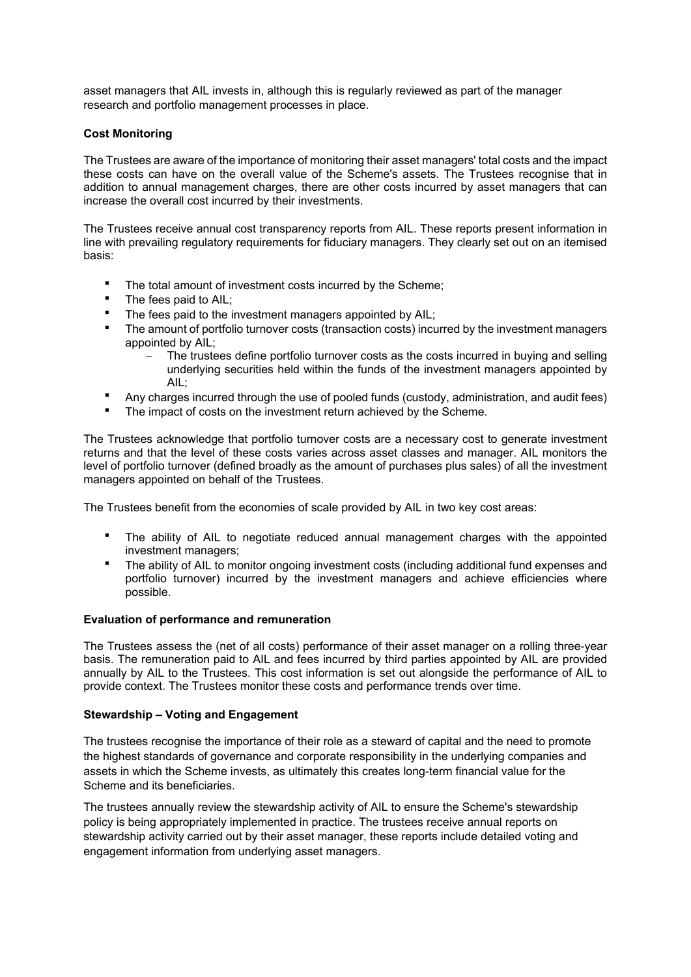asset managers that AIL invests in, although this is regularly reviewed as part of the manager research and portfolio management processes in place.

## **Cost Monitoring**

The Trustees are aware of the importance of monitoring their asset managers' total costs and the impact these costs can have on the overall value of the Scheme's assets. The Trustees recognise that in addition to annual management charges, there are other costs incurred by asset managers that can increase the overall cost incurred by their investments.

The Trustees receive annual cost transparency reports from AIL. These reports present information in line with prevailing regulatory requirements for fiduciary managers. They clearly set out on an itemised basis:

- The total amount of investment costs incurred by the Scheme;
- The fees paid to AIL;<br>■ The fees poid to the i
- The fees paid to the investment managers appointed by AIL;
- The amount of portfolio turnover costs (transaction costs) incurred by the investment managers appointed by AIL;
	- The trustees define portfolio turnover costs as the costs incurred in buying and selling underlying securities held within the funds of the investment managers appointed by AIL;
- Any charges incurred through the use of pooled funds (custody, administration, and audit fees)
- The impact of costs on the investment return achieved by the Scheme.

The Trustees acknowledge that portfolio turnover costs are a necessary cost to generate investment returns and that the level of these costs varies across asset classes and manager. AIL monitors the level of portfolio turnover (defined broadly as the amount of purchases plus sales) of all the investment managers appointed on behalf of the Trustees.

The Trustees benefit from the economies of scale provided by AIL in two key cost areas:

- The ability of AIL to negotiate reduced annual management charges with the appointed investment managers;
- The ability of AIL to monitor ongoing investment costs (including additional fund expenses and portfolio turnover) incurred by the investment managers and achieve efficiencies where possible.

#### **Evaluation of performance and remuneration**

The Trustees assess the (net of all costs) performance of their asset manager on a rolling three-year basis. The remuneration paid to AIL and fees incurred by third parties appointed by AIL are provided annually by AIL to the Trustees. This cost information is set out alongside the performance of AIL to provide context. The Trustees monitor these costs and performance trends over time.

#### **Stewardship – Voting and Engagement**

The trustees recognise the importance of their role as a steward of capital and the need to promote the highest standards of governance and corporate responsibility in the underlying companies and assets in which the Scheme invests, as ultimately this creates long-term financial value for the Scheme and its beneficiaries.

The trustees annually review the stewardship activity of AIL to ensure the Scheme's stewardship policy is being appropriately implemented in practice. The trustees receive annual reports on stewardship activity carried out by their asset manager, these reports include detailed voting and engagement information from underlying asset managers.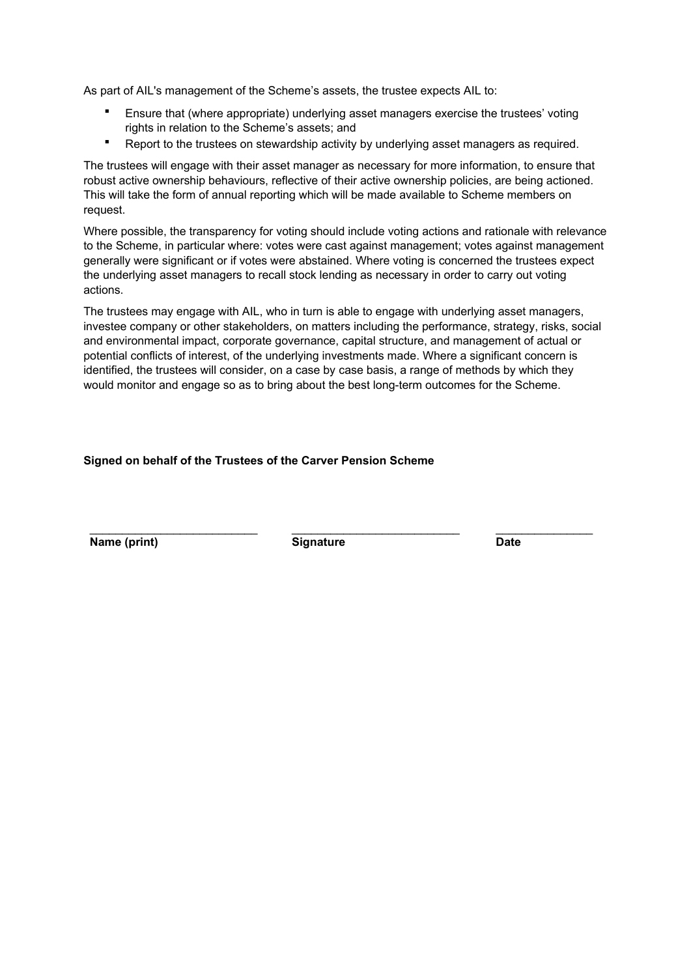As part of AIL's management of the Scheme's assets, the trustee expects AIL to:

- Ensure that (where appropriate) underlying asset managers exercise the trustees' voting rights in relation to the Scheme's assets; and
- **•** Report to the trustees on stewardship activity by underlying asset managers as required.

The trustees will engage with their asset manager as necessary for more information, to ensure that robust active ownership behaviours, reflective of their active ownership policies, are being actioned. This will take the form of annual reporting which will be made available to Scheme members on request.

Where possible, the transparency for voting should include voting actions and rationale with relevance to the Scheme, in particular where: votes were cast against management; votes against management generally were significant or if votes were abstained. Where voting is concerned the trustees expect the underlying asset managers to recall stock lending as necessary in order to carry out voting actions.

The trustees may engage with AIL, who in turn is able to engage with underlying asset managers, investee company or other stakeholders, on matters including the performance, strategy, risks, social and environmental impact, corporate governance, capital structure, and management of actual or potential conflicts of interest, of the underlying investments made. Where a significant concern is identified, the trustees will consider, on a case by case basis, a range of methods by which they would monitor and engage so as to bring about the best long-term outcomes for the Scheme.

#### **Signed on behalf of the Trustees of the Carver Pension Scheme**

\_\_\_\_\_\_\_\_\_\_\_\_\_\_\_\_\_\_\_\_\_\_\_\_\_\_ \_\_\_\_\_\_\_\_\_\_\_\_\_\_\_\_\_\_\_\_\_\_\_\_\_\_ \_\_\_\_\_\_\_\_\_\_\_\_\_\_\_ **Name (print)** Signature Date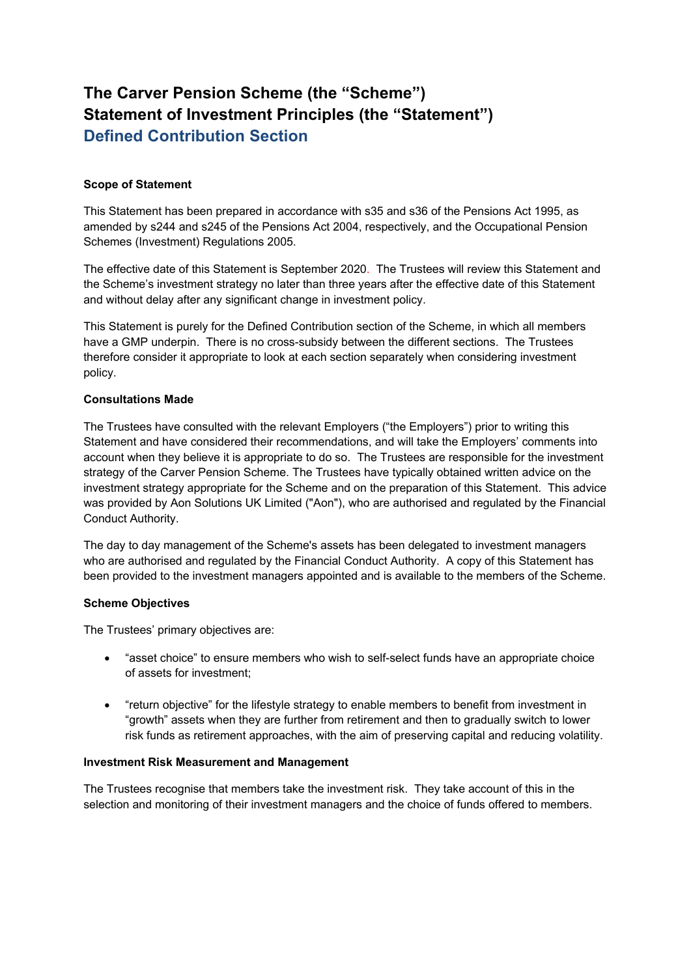# **The Carver Pension Scheme (the "Scheme") Statement of Investment Principles (the "Statement") Defined Contribution Section**

## **Scope of Statement**

This Statement has been prepared in accordance with s35 and s36 of the Pensions Act 1995, as amended by s244 and s245 of the Pensions Act 2004, respectively, and the Occupational Pension Schemes (Investment) Regulations 2005.

The effective date of this Statement is September 2020. The Trustees will review this Statement and the Scheme's investment strategy no later than three years after the effective date of this Statement and without delay after any significant change in investment policy.

This Statement is purely for the Defined Contribution section of the Scheme, in which all members have a GMP underpin. There is no cross-subsidy between the different sections. The Trustees therefore consider it appropriate to look at each section separately when considering investment policy.

## **Consultations Made**

The Trustees have consulted with the relevant Employers ("the Employers") prior to writing this Statement and have considered their recommendations, and will take the Employers' comments into account when they believe it is appropriate to do so. The Trustees are responsible for the investment strategy of the Carver Pension Scheme. The Trustees have typically obtained written advice on the investment strategy appropriate for the Scheme and on the preparation of this Statement. This advice was provided by Aon Solutions UK Limited ("Aon"), who are authorised and regulated by the Financial Conduct Authority.

The day to day management of the Scheme's assets has been delegated to investment managers who are authorised and regulated by the Financial Conduct Authority. A copy of this Statement has been provided to the investment managers appointed and is available to the members of the Scheme.

## **Scheme Objectives**

The Trustees' primary objectives are:

- "asset choice" to ensure members who wish to self-select funds have an appropriate choice of assets for investment;
- "return objective" for the lifestyle strategy to enable members to benefit from investment in "growth" assets when they are further from retirement and then to gradually switch to lower risk funds as retirement approaches, with the aim of preserving capital and reducing volatility.

## **Investment Risk Measurement and Management**

The Trustees recognise that members take the investment risk. They take account of this in the selection and monitoring of their investment managers and the choice of funds offered to members.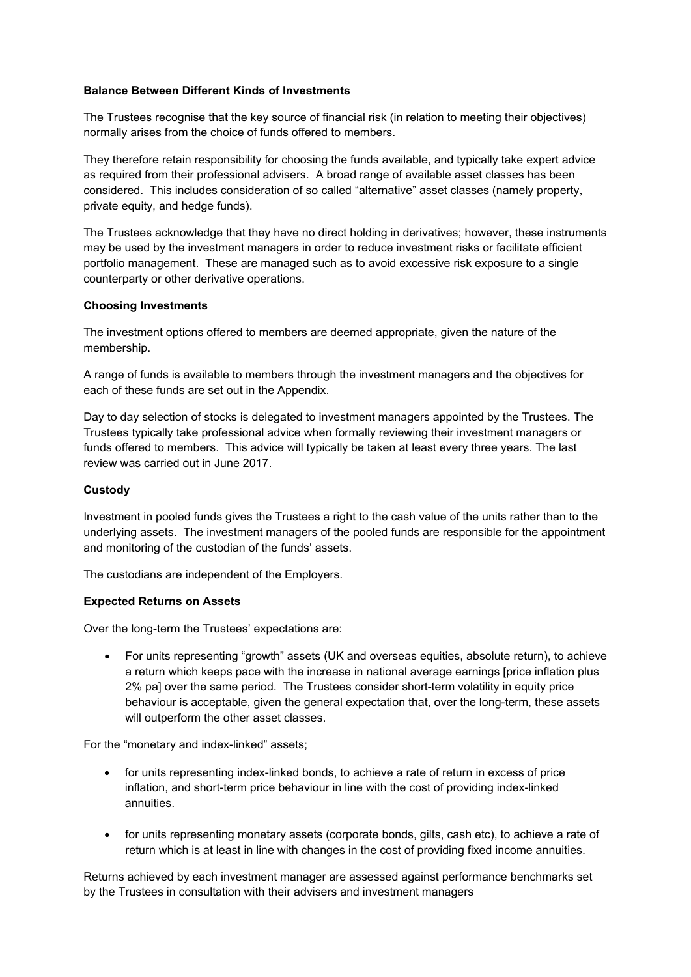## **Balance Between Different Kinds of Investments**

The Trustees recognise that the key source of financial risk (in relation to meeting their objectives) normally arises from the choice of funds offered to members.

They therefore retain responsibility for choosing the funds available, and typically take expert advice as required from their professional advisers. A broad range of available asset classes has been considered. This includes consideration of so called "alternative" asset classes (namely property, private equity, and hedge funds).

The Trustees acknowledge that they have no direct holding in derivatives; however, these instruments may be used by the investment managers in order to reduce investment risks or facilitate efficient portfolio management. These are managed such as to avoid excessive risk exposure to a single counterparty or other derivative operations.

#### **Choosing Investments**

The investment options offered to members are deemed appropriate, given the nature of the membership.

A range of funds is available to members through the investment managers and the objectives for each of these funds are set out in the Appendix.

Day to day selection of stocks is delegated to investment managers appointed by the Trustees. The Trustees typically take professional advice when formally reviewing their investment managers or funds offered to members. This advice will typically be taken at least every three years. The last review was carried out in June 2017.

#### **Custody**

Investment in pooled funds gives the Trustees a right to the cash value of the units rather than to the underlying assets. The investment managers of the pooled funds are responsible for the appointment and monitoring of the custodian of the funds' assets.

The custodians are independent of the Employers.

## **Expected Returns on Assets**

Over the long-term the Trustees' expectations are:

 For units representing "growth" assets (UK and overseas equities, absolute return), to achieve a return which keeps pace with the increase in national average earnings [price inflation plus 2% pa] over the same period. The Trustees consider short-term volatility in equity price behaviour is acceptable, given the general expectation that, over the long-term, these assets will outperform the other asset classes.

For the "monetary and index-linked" assets;

- for units representing index-linked bonds, to achieve a rate of return in excess of price inflation, and short-term price behaviour in line with the cost of providing index-linked annuities.
- for units representing monetary assets (corporate bonds, gilts, cash etc), to achieve a rate of return which is at least in line with changes in the cost of providing fixed income annuities.

Returns achieved by each investment manager are assessed against performance benchmarks set by the Trustees in consultation with their advisers and investment managers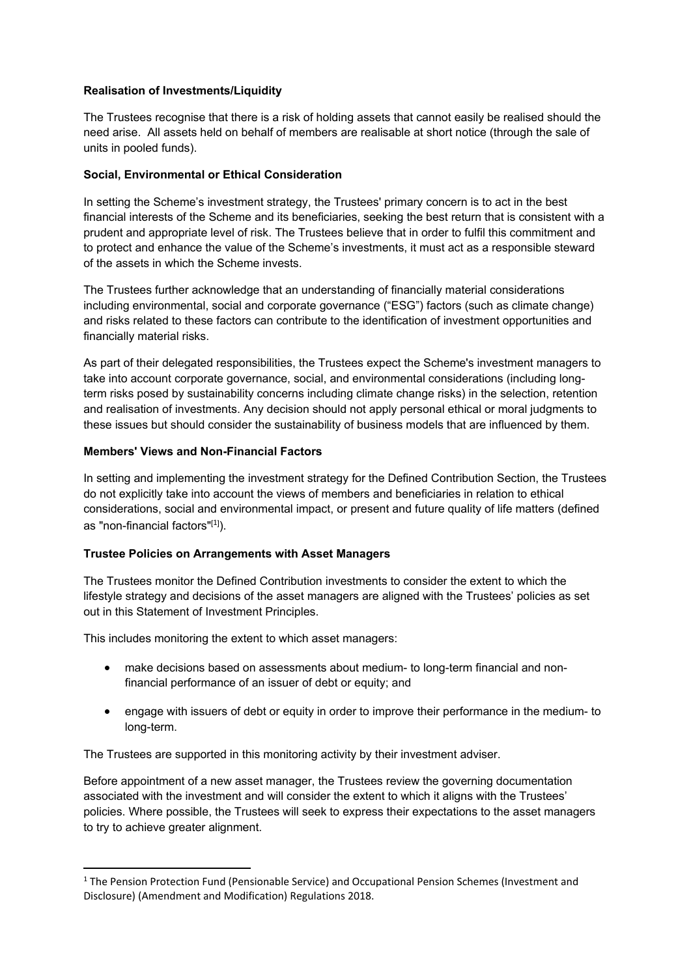## **Realisation of Investments/Liquidity**

The Trustees recognise that there is a risk of holding assets that cannot easily be realised should the need arise. All assets held on behalf of members are realisable at short notice (through the sale of units in pooled funds).

# **Social, Environmental or Ethical Consideration**

In setting the Scheme's investment strategy, the Trustees' primary concern is to act in the best financial interests of the Scheme and its beneficiaries, seeking the best return that is consistent with a prudent and appropriate level of risk. The Trustees believe that in order to fulfil this commitment and to protect and enhance the value of the Scheme's investments, it must act as a responsible steward of the assets in which the Scheme invests.

The Trustees further acknowledge that an understanding of financially material considerations including environmental, social and corporate governance ("ESG") factors (such as climate change) and risks related to these factors can contribute to the identification of investment opportunities and financially material risks.

As part of their delegated responsibilities, the Trustees expect the Scheme's investment managers to take into account corporate governance, social, and environmental considerations (including longterm risks posed by sustainability concerns including climate change risks) in the selection, retention and realisation of investments. Any decision should not apply personal ethical or moral judgments to these issues but should consider the sustainability of business models that are influenced by them.

# **Members' Views and Non-Financial Factors**

In setting and implementing the investment strategy for the Defined Contribution Section, the Trustees do not explicitly take into account the views of members and beneficiaries in relation to ethical considerations, social and environmental impact, or present and future quality of life matters (defined as "non-financial factors"<sup>[1]</sup>).

## **Trustee Policies on Arrangements with Asset Managers**

The Trustees monitor the Defined Contribution investments to consider the extent to which the lifestyle strategy and decisions of the asset managers are aligned with the Trustees' policies as set out in this Statement of Investment Principles.

This includes monitoring the extent to which asset managers:

- make decisions based on assessments about medium- to long-term financial and nonfinancial performance of an issuer of debt or equity; and
- engage with issuers of debt or equity in order to improve their performance in the medium- to long-term.

The Trustees are supported in this monitoring activity by their investment adviser.

Before appointment of a new asset manager, the Trustees review the governing documentation associated with the investment and will consider the extent to which it aligns with the Trustees' policies. Where possible, the Trustees will seek to express their expectations to the asset managers to try to achieve greater alignment.

<sup>&</sup>lt;sup>1</sup> The Pension Protection Fund (Pensionable Service) and Occupational Pension Schemes (Investment and Disclosure) (Amendment and Modification) Regulations 2018.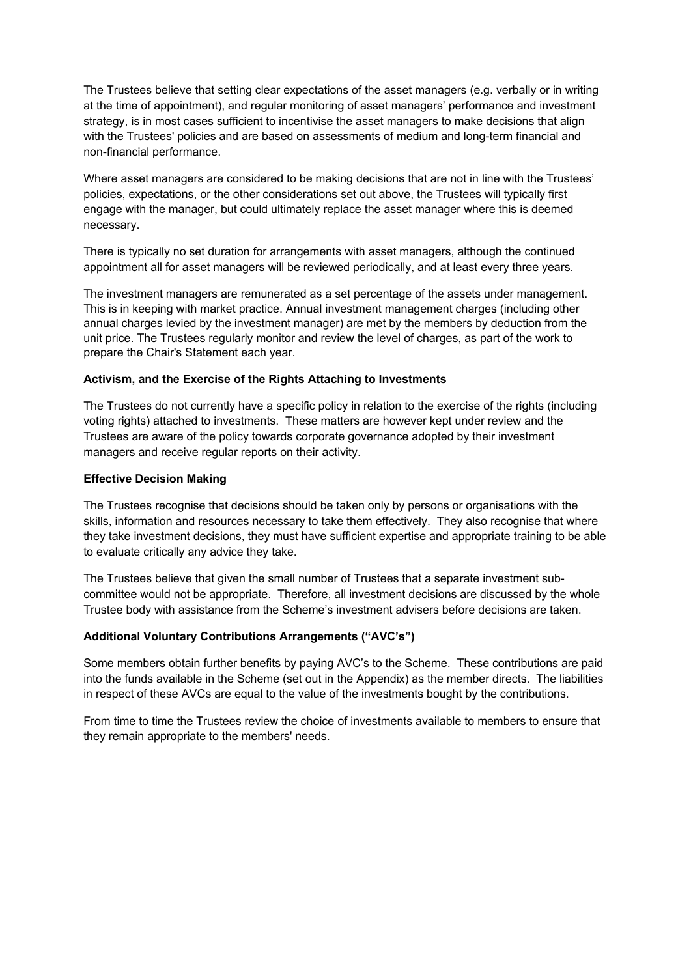The Trustees believe that setting clear expectations of the asset managers (e.g. verbally or in writing at the time of appointment), and regular monitoring of asset managers' performance and investment strategy, is in most cases sufficient to incentivise the asset managers to make decisions that align with the Trustees' policies and are based on assessments of medium and long-term financial and non-financial performance.

Where asset managers are considered to be making decisions that are not in line with the Trustees' policies, expectations, or the other considerations set out above, the Trustees will typically first engage with the manager, but could ultimately replace the asset manager where this is deemed necessary.

There is typically no set duration for arrangements with asset managers, although the continued appointment all for asset managers will be reviewed periodically, and at least every three years.

The investment managers are remunerated as a set percentage of the assets under management. This is in keeping with market practice. Annual investment management charges (including other annual charges levied by the investment manager) are met by the members by deduction from the unit price. The Trustees regularly monitor and review the level of charges, as part of the work to prepare the Chair's Statement each year.

#### **Activism, and the Exercise of the Rights Attaching to Investments**

The Trustees do not currently have a specific policy in relation to the exercise of the rights (including voting rights) attached to investments. These matters are however kept under review and the Trustees are aware of the policy towards corporate governance adopted by their investment managers and receive regular reports on their activity.

#### **Effective Decision Making**

The Trustees recognise that decisions should be taken only by persons or organisations with the skills, information and resources necessary to take them effectively. They also recognise that where they take investment decisions, they must have sufficient expertise and appropriate training to be able to evaluate critically any advice they take.

The Trustees believe that given the small number of Trustees that a separate investment subcommittee would not be appropriate. Therefore, all investment decisions are discussed by the whole Trustee body with assistance from the Scheme's investment advisers before decisions are taken.

## **Additional Voluntary Contributions Arrangements ("AVC's")**

Some members obtain further benefits by paying AVC's to the Scheme. These contributions are paid into the funds available in the Scheme (set out in the Appendix) as the member directs. The liabilities in respect of these AVCs are equal to the value of the investments bought by the contributions.

From time to time the Trustees review the choice of investments available to members to ensure that they remain appropriate to the members' needs.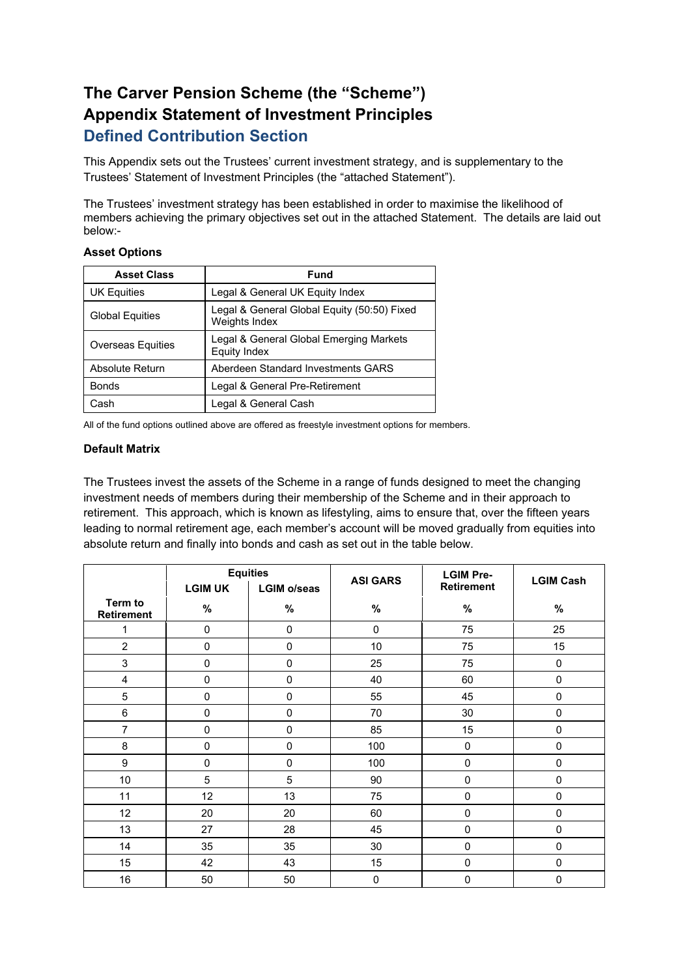# **The Carver Pension Scheme (the "Scheme") Appendix Statement of Investment Principles Defined Contribution Section**

This Appendix sets out the Trustees' current investment strategy, and is supplementary to the Trustees' Statement of Investment Principles (the "attached Statement").

The Trustees' investment strategy has been established in order to maximise the likelihood of members achieving the primary objectives set out in the attached Statement. The details are laid out below:-

# **Asset Options**

| <b>Asset Class</b>       | <b>Fund</b>                                                  |
|--------------------------|--------------------------------------------------------------|
| <b>UK Equities</b>       | Legal & General UK Equity Index                              |
| <b>Global Equities</b>   | Legal & General Global Equity (50:50) Fixed<br>Weights Index |
| <b>Overseas Equities</b> | Legal & General Global Emerging Markets<br>Equity Index      |
| Absolute Return          | Aberdeen Standard Investments GARS                           |
| <b>Bonds</b>             | Legal & General Pre-Retirement                               |
| Cash                     | Legal & General Cash                                         |

All of the fund options outlined above are offered as freestyle investment options for members.

#### **Default Matrix**

The Trustees invest the assets of the Scheme in a range of funds designed to meet the changing investment needs of members during their membership of the Scheme and in their approach to retirement. This approach, which is known as lifestyling, aims to ensure that, over the fifteen years leading to normal retirement age, each member's account will be moved gradually from equities into absolute return and finally into bonds and cash as set out in the table below.

|                       | <b>Equities</b> |                    | <b>ASI GARS</b> | <b>LGIM Pre-</b>  | <b>LGIM Cash</b> |
|-----------------------|-----------------|--------------------|-----------------|-------------------|------------------|
|                       | <b>LGIM UK</b>  | <b>LGIM o/seas</b> |                 | <b>Retirement</b> |                  |
| Term to<br>Retirement | $\%$            | $\%$               | $\%$            | %                 | $\%$             |
| 1                     | $\mathbf 0$     | $\mathbf 0$        | $\mathbf 0$     | 75                | 25               |
| $\overline{2}$        | $\mathbf 0$     | $\mathbf 0$        | 10              | 75                | 15               |
| $\mathbf{3}$          | $\mathbf 0$     | $\mathbf 0$        | 25              | 75                | 0                |
| 4                     | $\mathbf 0$     | $\mathbf 0$        | 40              | 60                | 0                |
| 5                     | $\mathbf 0$     | $\mathbf 0$        | 55              | 45                | 0                |
| 6                     | $\mathbf 0$     | $\mathbf 0$        | 70              | 30                | 0                |
| 7                     | $\mathbf 0$     | $\mathbf 0$        | 85              | 15                | 0                |
| 8                     | $\mathbf 0$     | $\mathbf 0$        | 100             | $\mathbf 0$       | $\mathbf 0$      |
| 9                     | $\mathbf 0$     | $\mathbf 0$        | 100             | 0                 | 0                |
| 10                    | 5               | 5                  | 90              | 0                 | 0                |
| 11                    | 12              | 13                 | 75              | 0                 | 0                |
| 12                    | 20              | 20                 | 60              | 0                 | $\pmb{0}$        |
| 13                    | 27              | 28                 | 45              | 0                 | 0                |
| 14                    | 35              | 35                 | 30              | 0                 | $\pmb{0}$        |
| 15                    | 42              | 43                 | 15              | 0                 | 0                |
| 16                    | 50              | 50                 | $\mathbf 0$     | 0                 | 0                |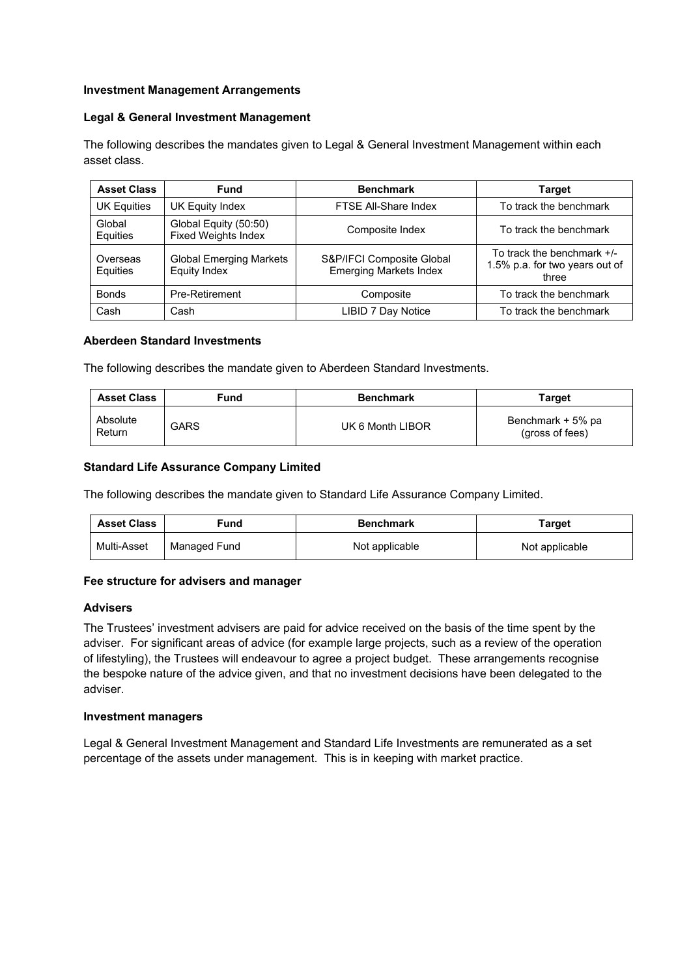## **Investment Management Arrangements**

#### **Legal & General Investment Management**

The following describes the mandates given to Legal & General Investment Management within each asset class.

| <b>Asset Class</b>   | <b>Fund</b>                                           | <b>Benchmark</b>                                           | <b>Target</b>                                                         |
|----------------------|-------------------------------------------------------|------------------------------------------------------------|-----------------------------------------------------------------------|
| <b>UK Equities</b>   | UK Equity Index                                       | FTSE All-Share Index                                       | To track the benchmark                                                |
| Global<br>Equities   | Global Equity (50:50)<br><b>Fixed Weights Index</b>   | Composite Index                                            | To track the benchmark                                                |
| Overseas<br>Equities | <b>Global Emerging Markets</b><br><b>Equity Index</b> | S&P/IFCI Composite Global<br><b>Emerging Markets Index</b> | To track the benchmark +/-<br>1.5% p.a. for two years out of<br>three |
| <b>Bonds</b>         | Pre-Retirement                                        | Composite                                                  | To track the benchmark                                                |
| Cash                 | Cash                                                  | LIBID 7 Day Notice                                         | To track the benchmark                                                |

#### **Aberdeen Standard Investments**

The following describes the mandate given to Aberdeen Standard Investments.

| <b>Asset Class</b> | Fund | <b>Benchmark</b> | <b>Target</b>                        |
|--------------------|------|------------------|--------------------------------------|
| Absolute<br>Return | GARS | UK 6 Month LIBOR | Benchmark + 5% pa<br>(gross of fees) |

## **Standard Life Assurance Company Limited**

The following describes the mandate given to Standard Life Assurance Company Limited.

| <b>Asset Class</b> | Fund.        | <b>Benchmark</b> | Target         |
|--------------------|--------------|------------------|----------------|
| Multi-Asset        | Managed Fund | Not applicable   | Not applicable |

## **Fee structure for advisers and manager**

## **Advisers**

The Trustees' investment advisers are paid for advice received on the basis of the time spent by the adviser. For significant areas of advice (for example large projects, such as a review of the operation of lifestyling), the Trustees will endeavour to agree a project budget. These arrangements recognise the bespoke nature of the advice given, and that no investment decisions have been delegated to the adviser.

#### **Investment managers**

Legal & General Investment Management and Standard Life Investments are remunerated as a set percentage of the assets under management. This is in keeping with market practice.